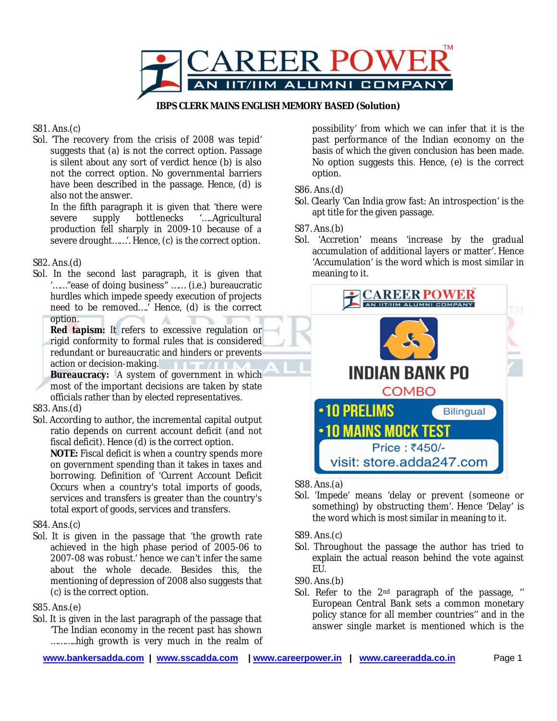

**IBPS CLERK MAINS ENGLISH MEMORY BASED (Solution)**

## S81. Ans.(c)

Sol. 'The recovery from the crisis of 2008 was tepid' suggests that (a) is not the correct option. Passage is silent about any sort of verdict hence (b) is also not the correct option. No governmental barriers have been described in the passage. Hence, (d) is also not the answer.

In the fifth paragraph it is given that 'there were severe supply bottlenecks '.....Agricultural production fell sharply in 2009-10 because of severe drought......'. Hence, (c) is the correct option.

# S82. Ans.(d)

Sol. In the second last paragraph, it is given that '……"ease of doing business" …… (i.e.) bureaucratic hurdles which impede speedy execution of projects need to be removed….' Hence, (d) is the correct option. А

**Red tapism:** It refers to excessive regulation or rigid conformity to formal rules that is considered redundant or bureaucratic and hinders or prevents action or decision-making.

Bureaucracy: A system of government in which most of the important decisions are taken by state officials rather than by elected representatives.

# S83. Ans.(d)

Sol. According to author, the incremental capital output ratio depends on current account deficit (and not fiscal deficit). Hence (d) is the correct option.

NOTE: Fiscal deficit is when a country spends more on government spending than it takes in taxes and borrowing. Definition of 'Current Account Deficit Occurs when a country's total imports of goods, services and transfers is greater than the country's total export of goods, services and transfers.

### S84. Ans.(c)

Sol. It is given in the passage that 'the growth rate achieved in the high phase period of 2005-06 to 2007-08 was robust.' hence we can't infer the same about the whole decade. Besides this, the mentioning of depression of 2008 also suggests that (c) is the correct option.

### S85. Ans.(e)

Sol. It is given in the last paragraph of the passage that 'The Indian economy in the recent past has shown ………..high growth is very much in the realm of possibility' from which we can infer that it is the past performance of the Indian economy on the basis of which the given conclusion has been made. No option suggests this. Hence, (e) is the correct option.

### S86. Ans.(d)

Sol. Clearly 'Can India grow fast: An introspection' is the apt title for the given passage.

S87. Ans.(b)

Sol. 'Accretion' means 'increase by the gradual accumulation of additional layers or matter'. Hence 'Accumulation' is the word which is most similar in meaning to it.



S88. Ans.(a)

Sol. 'Impede' means 'delay or prevent (someone or something) by obstructing them'. Hence 'Delay' is the word which is most similar in meaning to it.

### S89. Ans.(c)

Sol. Throughout the passage the author has tried to explain the actual reason behind the vote against EU.

S90. Ans.(b)

Sol. Refer to the 2<sup>nd</sup> paragraph of the passage, " European Central Bank sets a common monetary policy stance for all member countries'' and in the answer single market is mentioned which is the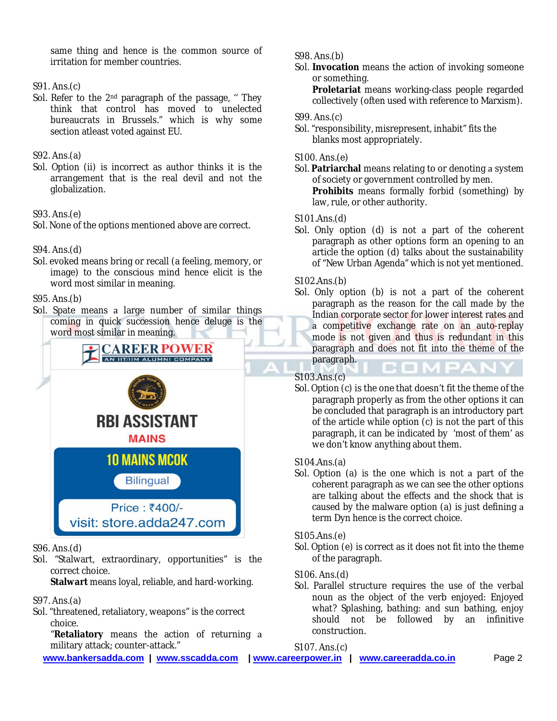same thing and hence is the common source of irritation for member countries.

### S91. Ans.(c)

Sol. Refer to the 2<sup>nd</sup> paragraph of the passage, " They think that control has moved to unelected bureaucrats in Brussels." which is why some section atleast voted against EU.

## S92. Ans.(a)

Sol. Option (ii) is incorrect as author thinks it is the arrangement that is the real devil and not the globalization.

### S93. Ans.(e)

Sol. None of the options mentioned above are correct.

### S94. Ans.(d)

Sol. evoked means bring or recall (a feeling, memory, or image) to the conscious mind hence elicit is the word most similar in meaning.

### S95. Ans.(b)

Sol. Spate means a large number of similar things coming in quick succession hence deluge is the word most similar in meaning.



- S96. Ans.(d)
- Sol. "Stalwart, extraordinary, opportunities" is the correct choice.

**Stalwart** means loyal, reliable, and hard-working.

- S97. Ans.(a)
- Sol. "threatened, retaliatory, weapons" is the correct choice.

"**Retaliatory** means the action of returning military attack; counter-attack."

S98. Ans.(b)

Sol. **Invocation** means the action of invoking someone or something.

**Proletariat** means working-class people regarded collectively (often used with reference to Marxism).

### S99. Ans.(c)

Sol. "responsibility, misrepresent, inhabit" fits the blanks most appropriately.

### S100. Ans.(e)

Sol. Patriarchal means relating to or denoting a system of society or government controlled by men. **Prohibits** means formally forbid (something) by law, rule, or other authority.

### S101.Ans.(d)

Sol. Only option  $(d)$  is not a part of the coherent paragraph as other options form an opening to an article the option (d) talks about the sustainability of "New Urban Agenda" which is not yet mentioned.

### S102.Ans.(b)

Sol. Only option (b) is not a part of the coherent paragraph as the reason for the call made by the Indian corporate sector for lower interest rates and a competitive exchange rate on an auto-replay mode is not given and thus is redundant in this paragraph and does not fit into the theme of the paragraph.

### S103.Ans.(c)

Sol. Option (c) is the one that doesn't fit the theme of the paragraph properly as from the other options it can be concluded that paragraph is an introductory part of the article while option (c) is not the part of this paragraph, it can be indicated by 'most of them' as we don't know anything about them.

### S104.Ans.(a)

Sol. Option (a) is the one which is not a part of the coherent paragraph as we can see the other options are talking about the effects and the shock that is caused by the malware option (a) is just defining term Dyn hence is the correct choice.

### S105.Ans.(e)

Sol. Option (e) is correct as it does not fit into the theme of the paragraph.

### S106. Ans.(d)

Sol. Parallel structure requires the use of the verbal noun as the object of the verb enjoyed: Enjoyed what? Splashing, bathing: and sun bathing, enjoy should not be followed by an infinitive construction.

S107. Ans.(c)

**www.bankersadda.com | www.sscadda.com | www.careerpower.in | www.careeradda.co.in** Page 2